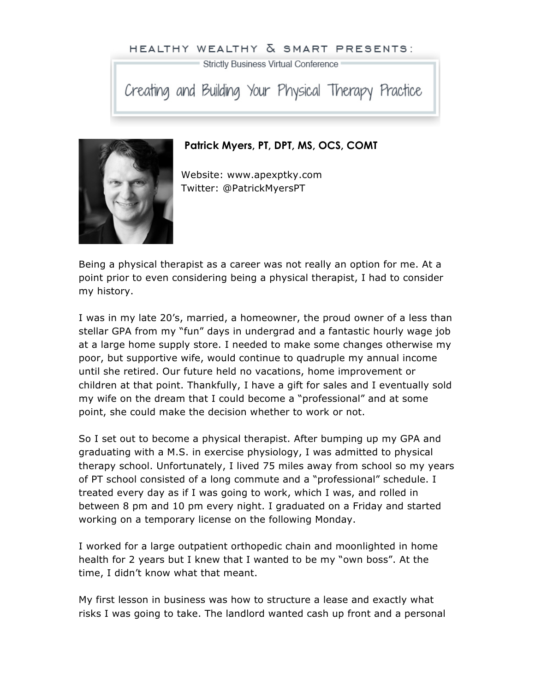## HEALTHY WEALTHY & SMART PRESENTS:

Strictly Business Virtual Conference

Creating and Building Your Physical Therapy Practice



## **Patrick Myers, PT, DPT, MS, OCS, COMT**

Website: www.apexptky.com Twitter: @PatrickMyersPT

Being a physical therapist as a career was not really an option for me. At a point prior to even considering being a physical therapist, I had to consider my history.

I was in my late 20's, married, a homeowner, the proud owner of a less than stellar GPA from my "fun" days in undergrad and a fantastic hourly wage job at a large home supply store. I needed to make some changes otherwise my poor, but supportive wife, would continue to quadruple my annual income until she retired. Our future held no vacations, home improvement or children at that point. Thankfully, I have a gift for sales and I eventually sold my wife on the dream that I could become a "professional" and at some point, she could make the decision whether to work or not.

So I set out to become a physical therapist. After bumping up my GPA and graduating with a M.S. in exercise physiology, I was admitted to physical therapy school. Unfortunately, I lived 75 miles away from school so my years of PT school consisted of a long commute and a "professional" schedule. I treated every day as if I was going to work, which I was, and rolled in between 8 pm and 10 pm every night. I graduated on a Friday and started working on a temporary license on the following Monday.

I worked for a large outpatient orthopedic chain and moonlighted in home health for 2 years but I knew that I wanted to be my "own boss". At the time, I didn't know what that meant.

My first lesson in business was how to structure a lease and exactly what risks I was going to take. The landlord wanted cash up front and a personal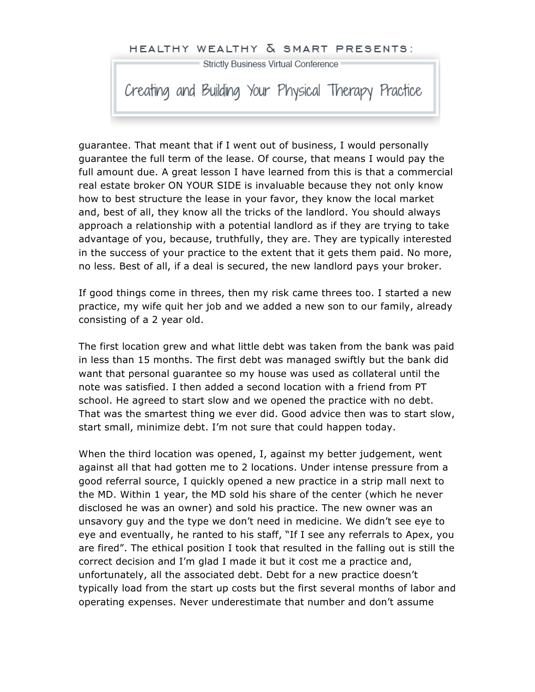

guarantee. That meant that if I went out of business, I would personally guarantee the full term of the lease. Of course, that means I would pay the full amount due. A great lesson I have learned from this is that a commercial real estate broker ON YOUR SIDE is invaluable because they not only know how to best structure the lease in your favor, they know the local market and, best of all, they know all the tricks of the landlord. You should always approach a relationship with a potential landlord as if they are trying to take advantage of you, because, truthfully, they are. They are typically interested in the success of your practice to the extent that it gets them paid. No more, no less. Best of all, if a deal is secured, the new landlord pays your broker.

If good things come in threes, then my risk came threes too. I started a new practice, my wife quit her job and we added a new son to our family, already consisting of a 2 year old.

The first location grew and what little debt was taken from the bank was paid in less than 15 months. The first debt was managed swiftly but the bank did want that personal guarantee so my house was used as collateral until the note was satisfied. I then added a second location with a friend from PT school. He agreed to start slow and we opened the practice with no debt. That was the smartest thing we ever did. Good advice then was to start slow, start small, minimize debt. I'm not sure that could happen today.

When the third location was opened, I, against my better judgement, went against all that had gotten me to 2 locations. Under intense pressure from a good referral source, I quickly opened a new practice in a strip mall next to the MD. Within 1 year, the MD sold his share of the center (which he never disclosed he was an owner) and sold his practice. The new owner was an unsavory guy and the type we don't need in medicine. We didn't see eye to eye and eventually, he ranted to his staff, "If I see any referrals to Apex, you are fired". The ethical position I took that resulted in the falling out is still the correct decision and I'm glad I made it but it cost me a practice and, unfortunately, all the associated debt. Debt for a new practice doesn't typically load from the start up costs but the first several months of labor and operating expenses. Never underestimate that number and don't assume